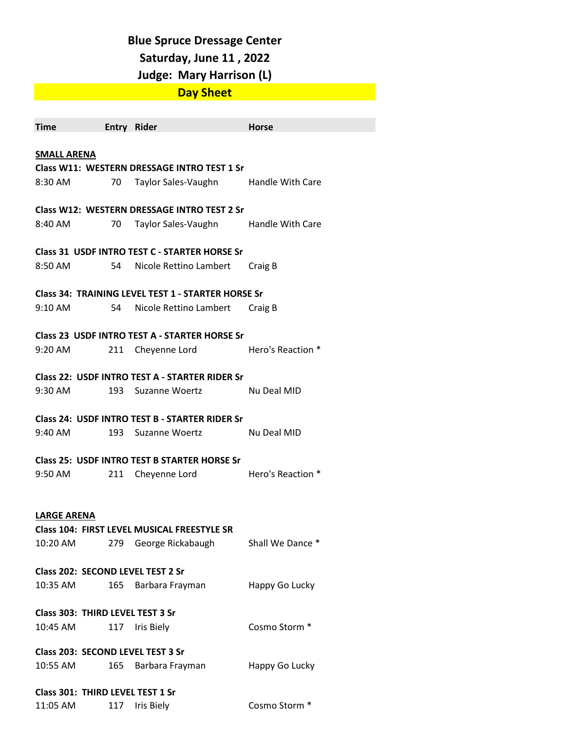#### **Blue Spruce Dressage Center**

### **Saturday, June 11 , 2022**

# **Judge: Mary Harrison (L)**

# **Day Sheet**

| <b>Time</b>                                        |      | Entry Rider                                         | <b>Horse</b>             |  |  |
|----------------------------------------------------|------|-----------------------------------------------------|--------------------------|--|--|
|                                                    |      |                                                     |                          |  |  |
| <b>SMALL ARENA</b>                                 |      |                                                     |                          |  |  |
|                                                    |      | Class W11: WESTERN DRESSAGE INTRO TEST 1 Sr         |                          |  |  |
| 8:30 AM                                            | 70 — | Taylor Sales-Vaughn Handle With Care                |                          |  |  |
|                                                    |      |                                                     |                          |  |  |
| Class W12: WESTERN DRESSAGE INTRO TEST 2 Sr        |      |                                                     |                          |  |  |
| 8:40 AM                                            |      | 70 Taylor Sales-Vaughn Handle With Care             |                          |  |  |
|                                                    |      |                                                     |                          |  |  |
|                                                    |      | Class 31 USDF INTRO TEST C - STARTER HORSE Sr       |                          |  |  |
| 8:50 AM                                            | 54   | Nicole Rettino Lambert                              | Craig B                  |  |  |
| Class 34: TRAINING LEVEL TEST 1 - STARTER HORSE Sr |      |                                                     |                          |  |  |
| 9:10 AM                                            | 54 — |                                                     |                          |  |  |
|                                                    |      | Nicole Rettino Lambert                              | Craig B                  |  |  |
| Class 23 USDF INTRO TEST A - STARTER HORSE Sr      |      |                                                     |                          |  |  |
| 9:20 AM                                            | 211  | Cheyenne Lord                                       | Hero's Reaction *        |  |  |
|                                                    |      |                                                     |                          |  |  |
|                                                    |      | Class 22: USDF INTRO TEST A - STARTER RIDER Sr      |                          |  |  |
| 9:30 AM                                            |      | 193 Suzanne Woertz                                  | - Nu Deal MID            |  |  |
|                                                    |      |                                                     |                          |  |  |
| Class 24: USDF INTRO TEST B - STARTER RIDER Sr     |      |                                                     |                          |  |  |
| 9:40 AM                                            |      | 193 Suzanne Woertz                                  | Nu Deal MID              |  |  |
|                                                    |      |                                                     |                          |  |  |
|                                                    |      | <b>Class 25: USDF INTRO TEST B STARTER HORSE Sr</b> |                          |  |  |
| 9:50 AM                                            | 211  | Cheyenne Lord                                       | <b>Hero's Reaction *</b> |  |  |
|                                                    |      |                                                     |                          |  |  |
|                                                    |      |                                                     |                          |  |  |
| <b>LARGE ARENA</b>                                 |      |                                                     |                          |  |  |
|                                                    |      | Class 104: FIRST LEVEL MUSICAL FREESTYLE SR         |                          |  |  |
| 10:20 AM                                           | 279  | George Rickabaugh                                   | Shall We Dance *         |  |  |
| Class 202: SECOND LEVEL TEST 2 Sr                  |      |                                                     |                          |  |  |
|                                                    |      |                                                     |                          |  |  |
| 10:35 AM                                           | 165  | Barbara Frayman                                     | Happy Go Lucky           |  |  |
| Class 303: THIRD LEVEL TEST 3 Sr                   |      |                                                     |                          |  |  |
|                                                    |      |                                                     | Cosmo Storm <sup>*</sup> |  |  |
| 10:45 AM                                           | 117  | Iris Biely                                          |                          |  |  |
| Class 203: SECOND LEVEL TEST 3 Sr                  |      |                                                     |                          |  |  |
| 10:55 AM                                           | 165  | Barbara Frayman                                     | Happy Go Lucky           |  |  |
|                                                    |      |                                                     |                          |  |  |
| Class 301: THIRD LEVEL TEST 1 Sr                   |      |                                                     |                          |  |  |
| 11:05 AM                                           | 117  | Iris Biely                                          | Cosmo Storm *            |  |  |